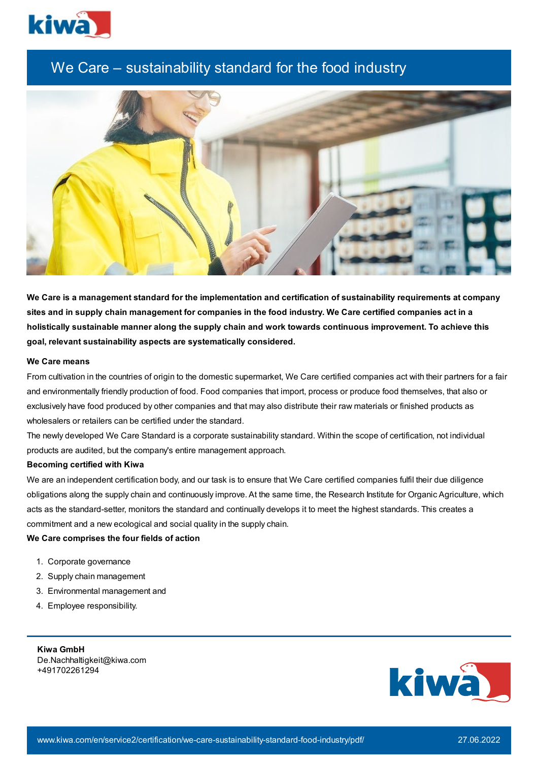

# We Care – sustainability standard for the food industry



We Care is a management standard for the implementation and certification of sustainability requirements at company sites and in supply chain management for companies in the food industry. We Care certified companies act in a **holistically sustainable manner along the supply chain and work towards continuous improvement. To achieve this goal, relevant sustainability aspects are systematically considered.**

## **We Care means**

From cultivation in the countries of origin to the domestic supermarket, We Care certified companies act with their partners for a fair and environmentally friendly production of food. Food companies that import, process or produce food themselves, that also or exclusively have food produced by other companies and that may also distribute their raw materials or finished products as wholesalers or retailers can be certified under the standard.

The newly developed We Care Standard is a corporate sustainability standard. Within the scope of certification, not individual products are audited, but the company's entire management approach.

### **Becoming certified with Kiwa**

We are an independent certification body, and our task is to ensure that We Care certified companies fulfil their due diligence obligations along the supply chain and continuously improve. At the same time, the Research Institute for Organic Agriculture, which acts as the standard-setter, monitors the standard and continually develops it to meet the highest standards. This creates a commitment and a new ecological and social quality in the supply chain.

# **We Care comprises the four fields of action**

- 1. Corporate governance
- 2. Supply chain management
- 3. Environmental management and
- 4. Employee responsibility.

**Kiwa GmbH** De.Nachhaltigkeit@kiwa.com +491702261294